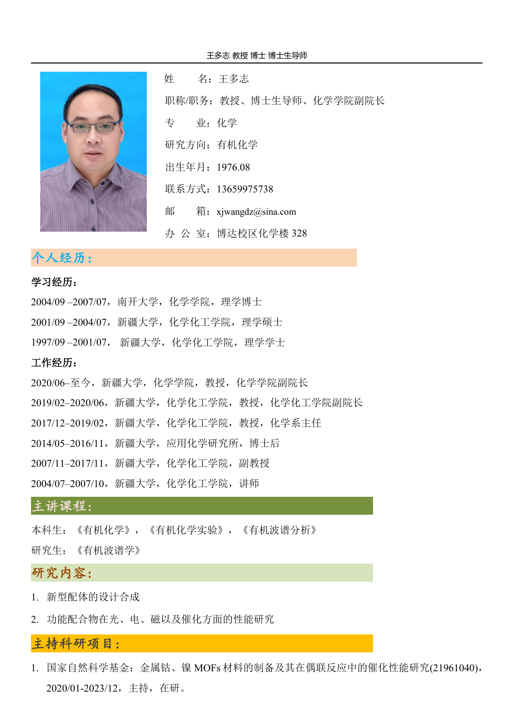

姓 名:王多志 职称/职务:教授、博士生导师、化学学院副院长 专 业:化学 研究方向: 有机化学 出生年月:1976.08 联系方式: 13659975738 邮 箱:xjwangdz@sina.com 办 公 室:博达校区化学楼 328

# 个人经历:。。。。。。。。。。。。。。。。。。。

#### 学习经历:

2004/09 –2007/07,南开大学,化学学院,理学博士 2001/09 –2004/07,新疆大学,化学化工学院,理学硕士 1997/09 –2001/07, 新疆大学,化学化工学院,理学学士 工作经历: 2020/06–至今,新疆大学,化学学院,教授,化学学院副院长 2019/02–2020/06,新疆大学,化学化工学院,教授,化学化工学院副院长 2017/12–2019/02,新疆大学,化学化工学院,教授,化学系主任 2014/05–2016/11,新疆大学,应用化学研究所,博士后 2007/11–2017/11,新疆大学,化学化工学院,副教授

2004/07–2007/10,新疆大学,化学化工学院,讲师

### 主讲课程:

本科生:《有机化学》,《有机化学实验》,《有机波谱分析》

研究生:《有机波谱学》

### 研究内容:

- 1. 新型配体的设计合成
- 2. 功能配合物在光、电、磁以及催化方面的性能研究

#### 主持科研项目:

1. 国家自然科学基金:金属钴、镍 MOFs 材料的制备及其在偶联反应中的催化性能研究(21961040), 2020/01-2023/12,主持,在研。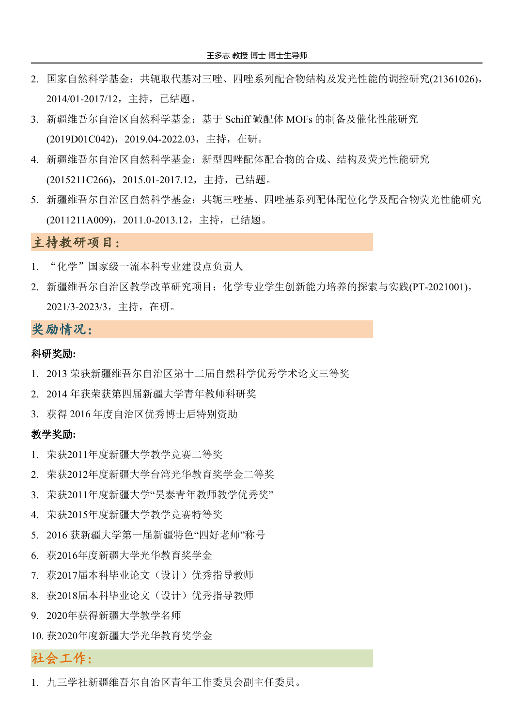- 2. 国家自然科学基金:共轭取代基对三唑、四唑系列配合物结构及发光性能的调控研究(21361026), 2014/01-2017/12,主持,已结题。
- 3. 新疆维吾尔自治区自然科学基金:基于 Schiff 碱配体 MOFs 的制备及催化性能研究 (2019D01C042),2019.04-2022.03,主持,在研。
- 4. 新疆维吾尔自治区自然科学基金:新型四唑配体配合物的合成、结构及荧光性能研究 (2015211C266),2015.01-2017.12,主持,已结题。
- 5. 新疆维吾尔自治区自然科学基金: 共轭三唑基、四唑基系列配体配位化学及配合物荧光性能研究 (2011211A009),2011.0-2013.12,主持,已结题。

## 主持教研项目:

- 1. "化学"国家级一流本科专业建设点负责人
- 2. 新疆维吾尔自治区教学改革研究项目: 化学专业学生创新能力培养的探索与实践(PT-2021001), 2021/3-2023/3,主持,在研。

### 奖励情况:

#### 科研奖励**:**

- 1. 2013 荣获新疆维吾尔自治区第十二届自然科学优秀学术论文三等奖
- 2. 2014 年获荣获第四届新疆大学青年教师科研奖
- 3. 获得 2016 年度自治区优秀博士后特别资助

#### 教学奖励**:**

- 1. 荣获2011年度新疆大学教学竞赛二等奖
- 2. 荣获2012年度新疆大学台湾光华教育奖学金二等奖
- 3. 荣获2011年度新疆大学"昊泰青年教师教学优秀奖"
- 4. 荣获2015年度新疆大学教学竞赛特等奖
- 5. 2016 获新疆大学第一届新疆特色"四好老师"称号
- 6. 获2016年度新疆大学光华教育奖学金
- 7. 获2017届本科毕业论文(设计)优秀指导教师
- 8. 获2018届本科毕业论文(设计)优秀指导教师
- 9. 2020年获得新疆大学教学名师
- 10. 获2020年度新疆大学光华教育奖学金

### 社会工作:

1. 九三学社新疆维吾尔自治区青年工作委员会副主任委员。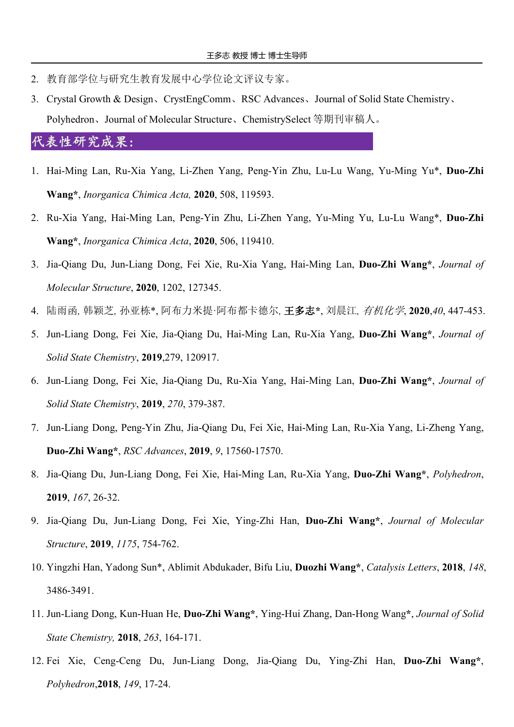- 2. 教育部学位与研究生教育发展中心学位论文评议专家。
- 3. Crystal Growth & Design、CrystEngComm、RSC Advances、Journal of Solid State Chemistry、 Polyhedron、Journal of Molecular Structure、ChemistrySelect 等期刊审稿人。

#### 代表性研究成果:

- 1. Hai-Ming Lan, Ru-Xia Yang, Li-Zhen Yang, Peng-Yin Zhu, Lu-Lu Wang, Yu-Ming Yu\*, **Duo-Zhi Wang\***, *Inorganica Chimica Acta,* **2020**, 508, 119593.
- 2. Ru-Xia Yang, Hai-Ming Lan, Peng-Yin Zhu, Li-Zhen Yang, Yu-Ming Yu, Lu-Lu Wang\*, **Duo-Zhi Wang\***, *Inorganica Chimica Acta*, **2020**, 506, 119410.
- 3. Jia-Qiang Du, Jun-Liang Dong, Fei Xie, Ru-Xia Yang, Hai-Ming Lan, **Duo-Zhi Wang\***, *Journal of Molecular Structure*, **2020**, 1202, 127345.
- 4. 陆雨函*,* 韩颖芝*,* 孙亚栋\*, 阿布力米提·阿布都卡德尔*,* 王多志**\***, 刘晨江*,* 有机化学, **2020**,*40*, 447-453.
- 5. Jun-Liang Dong, Fei Xie, Jia-Qiang Du, Hai-Ming Lan, Ru-Xia Yang, **Duo-Zhi Wang\***, *Journal of Solid State Chemistry*, **2019**,279, 120917.
- 6. Jun-Liang Dong, Fei Xie, Jia-Qiang Du, Ru-Xia Yang, Hai-Ming Lan, **Duo-Zhi Wang\***, *Journal of Solid State Chemistry*, **2019**, *270*, 379-387.
- 7. Jun-Liang Dong, Peng-Yin Zhu, Jia-Qiang Du, Fei Xie, Hai-Ming Lan, Ru-Xia Yang, Li-Zheng Yang, **Duo-Zhi Wang\***, *RSC Advances*, **2019**, *9*, 17560-17570.
- 8. Jia-Qiang Du, Jun-Liang Dong, Fei Xie, Hai-Ming Lan, Ru-Xia Yang, **Duo-Zhi Wang\***, *Polyhedron*, **2019**, *167*, 26-32.
- 9. Jia-Qiang Du, Jun-Liang Dong, Fei Xie, Ying-Zhi Han, **Duo-Zhi Wang\***, *Journal of Molecular Structure*, **2019**, *1175*, 754-762.
- 10. Yingzhi Han, Yadong Sun\*, Ablimit Abdukader, Bifu Liu, **Duozhi Wang\***, *Catalysis Letters*, **2018**, *148*, 3486-3491.
- 11. Jun-Liang Dong, Kun-Huan He, **Duo-Zhi Wang\***, Ying-Hui Zhang, Dan-Hong Wang**\***, *Journal of Solid State Chemistry,* **2018**, *263*, 164-171.
- 12. Fei Xie, Ceng-Ceng Du, Jun-Liang Dong, Jia-Qiang Du, Ying-Zhi Han, **Duo-Zhi Wang\***, *Polyhedron*,**2018**, *149*, 17-24.